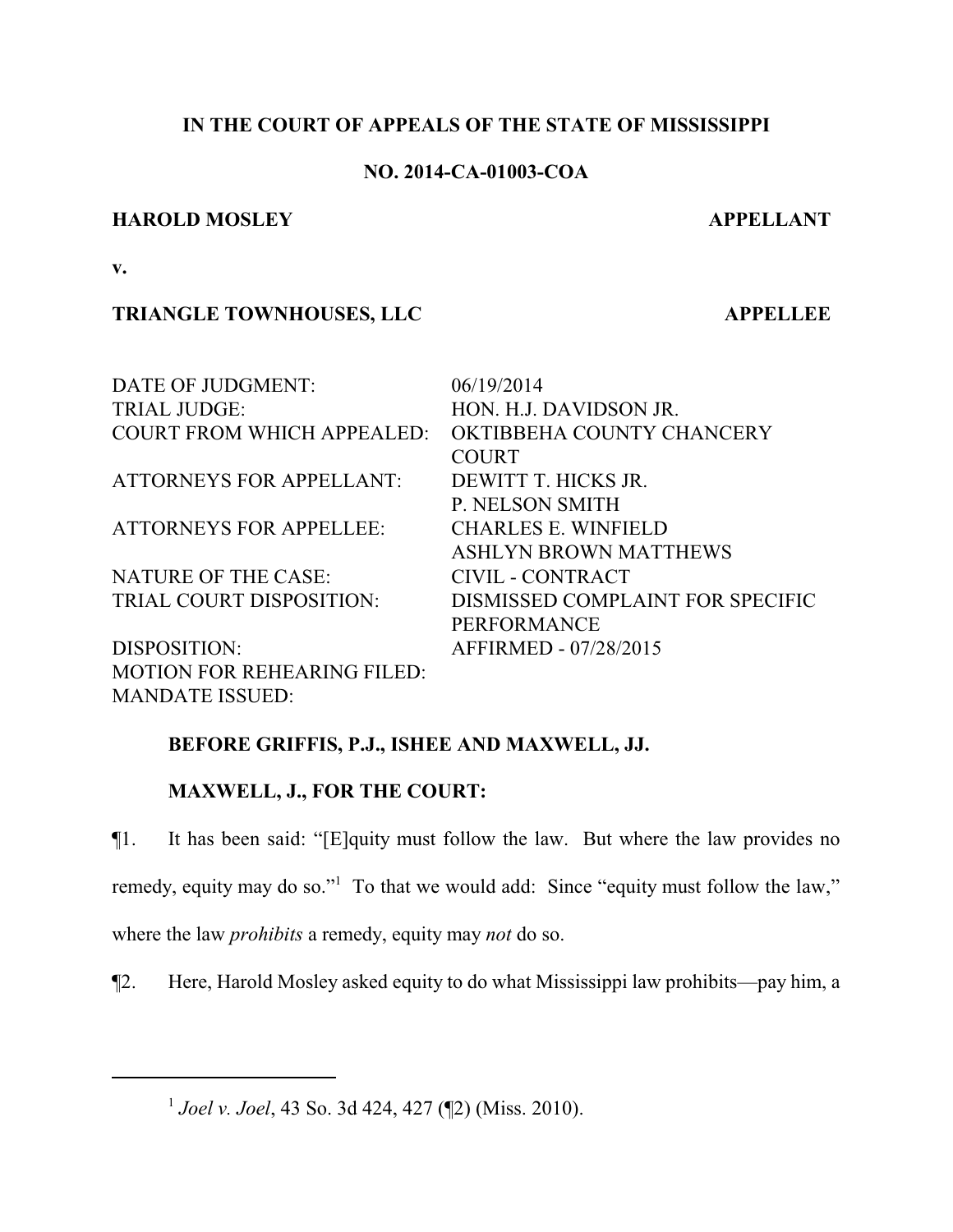## **IN THE COURT OF APPEALS OF THE STATE OF MISSISSIPPI**

## **NO. 2014-CA-01003-COA**

## **HAROLD MOSLEY APPELLANT**

**v.**

# **TRIANGLE TOWNHOUSES, LLC APPELLEE**

| DATE OF JUDGMENT:                  | 06/19/2014                       |
|------------------------------------|----------------------------------|
| <b>TRIAL JUDGE:</b>                | HON. H.J. DAVIDSON JR.           |
| <b>COURT FROM WHICH APPEALED:</b>  | OKTIBBEHA COUNTY CHANCERY        |
|                                    | <b>COURT</b>                     |
| <b>ATTORNEYS FOR APPELLANT:</b>    | DEWITT T. HICKS JR.              |
|                                    | <b>P. NELSON SMITH</b>           |
| <b>ATTORNEYS FOR APPELLEE:</b>     | <b>CHARLES E. WINFIELD</b>       |
|                                    | <b>ASHLYN BROWN MATTHEWS</b>     |
| <b>NATURE OF THE CASE:</b>         | CIVIL - CONTRACT                 |
| TRIAL COURT DISPOSITION:           | DISMISSED COMPLAINT FOR SPECIFIC |
|                                    | <b>PERFORMANCE</b>               |
| DISPOSITION:                       | AFFIRMED - 07/28/2015            |
| <b>MOTION FOR REHEARING FILED:</b> |                                  |
| <b>MANDATE ISSUED:</b>             |                                  |

# **BEFORE GRIFFIS, P.J., ISHEE AND MAXWELL, JJ.**

# **MAXWELL, J., FOR THE COURT:**

¶1. It has been said: "[E]quity must follow the law. But where the law provides no remedy, equity may do so."<sup>1</sup> To that we would add: Since "equity must follow the law," where the law *prohibits* a remedy, equity may *not* do so.

¶2. Here, Harold Mosley asked equity to do what Mississippi law prohibits—pay him, a

1 *Joel v. Joel*, 43 So. 3d 424, 427 (¶2) (Miss. 2010).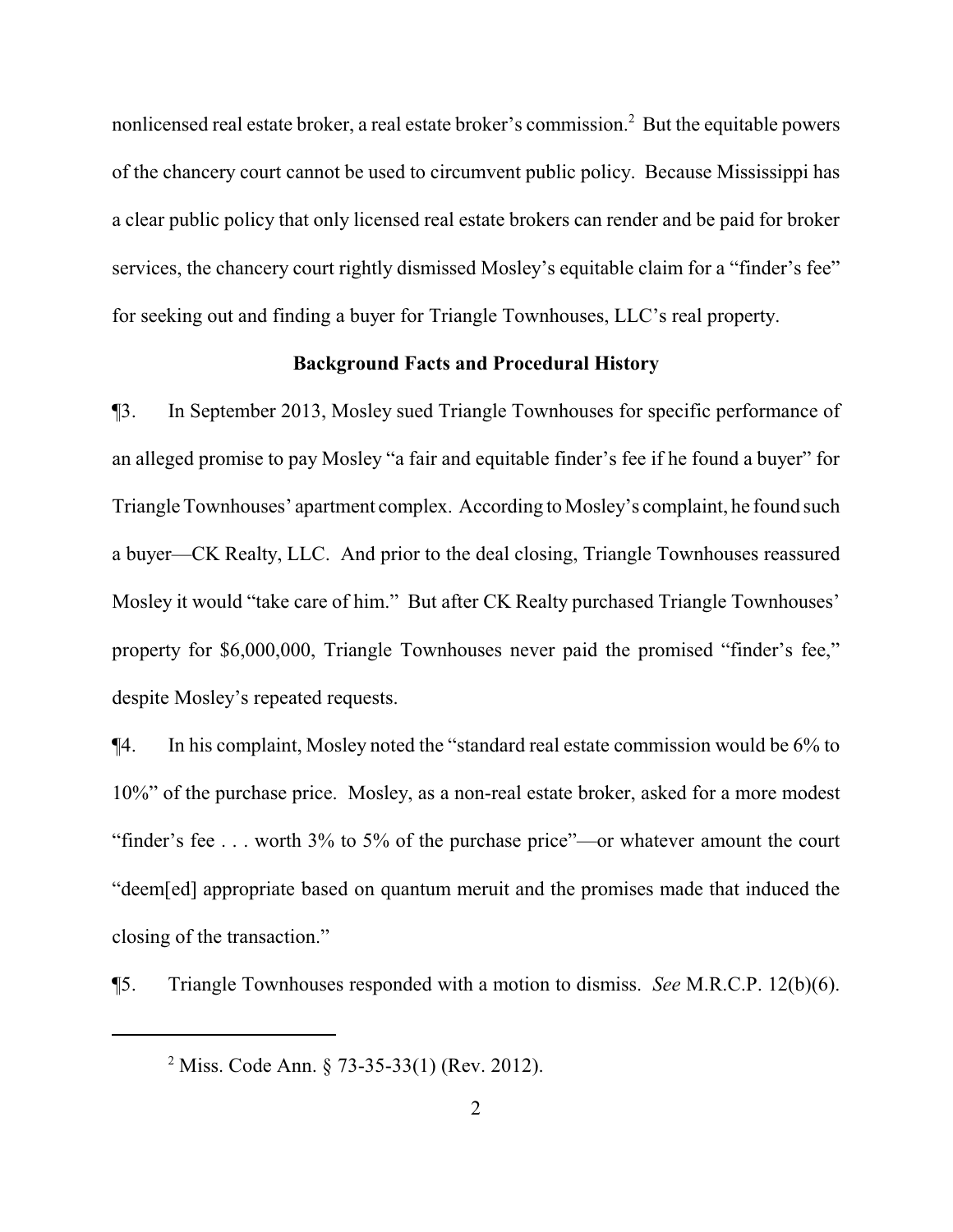nonlicensed real estate broker, a real estate broker's commission.<sup>2</sup> But the equitable powers of the chancery court cannot be used to circumvent public policy. Because Mississippi has a clear public policy that only licensed real estate brokers can render and be paid for broker services, the chancery court rightly dismissed Mosley's equitable claim for a "finder's fee" for seeking out and finding a buyer for Triangle Townhouses, LLC's real property.

#### **Background Facts and Procedural History**

¶3. In September 2013, Mosley sued Triangle Townhouses for specific performance of an alleged promise to pay Mosley "a fair and equitable finder's fee if he found a buyer" for Triangle Townhouses' apartment complex. According to Mosley's complaint, he found such a buyer—CK Realty, LLC. And prior to the deal closing, Triangle Townhouses reassured Mosley it would "take care of him." But after CK Realty purchased Triangle Townhouses' property for \$6,000,000, Triangle Townhouses never paid the promised "finder's fee," despite Mosley's repeated requests.

¶4. In his complaint, Mosley noted the "standard real estate commission would be 6% to 10%" of the purchase price. Mosley, as a non-real estate broker, asked for a more modest "finder's fee . . . worth 3% to 5% of the purchase price"—or whatever amount the court "deem[ed] appropriate based on quantum meruit and the promises made that induced the closing of the transaction."

¶5. Triangle Townhouses responded with a motion to dismiss. *See* M.R.C.P. 12(b)(6).

<sup>&</sup>lt;sup>2</sup> Miss. Code Ann. § 73-35-33(1) (Rev. 2012).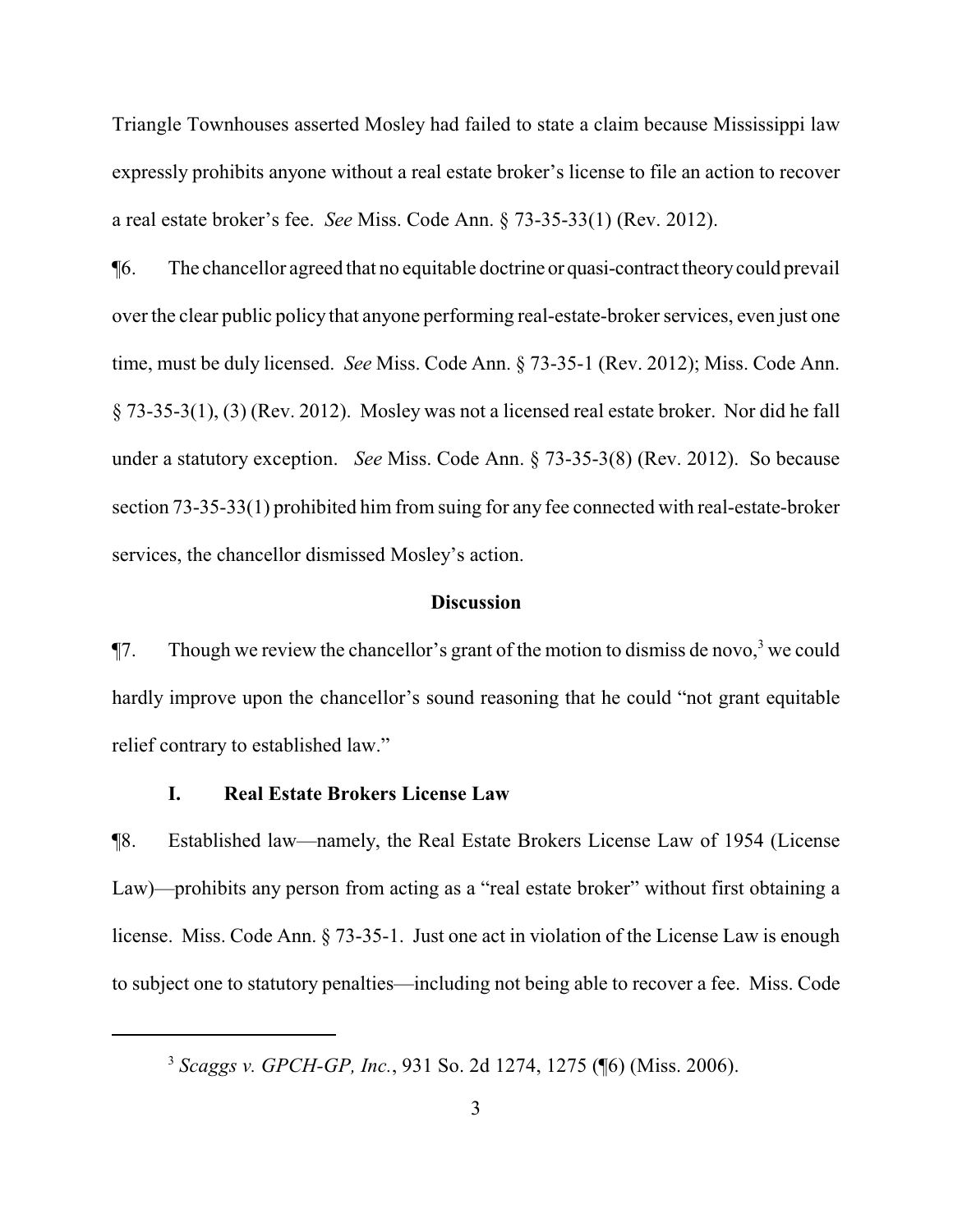Triangle Townhouses asserted Mosley had failed to state a claim because Mississippi law expressly prohibits anyone without a real estate broker's license to file an action to recover a real estate broker's fee. *See* Miss. Code Ann. § 73-35-33(1) (Rev. 2012).

¶6. The chancellor agreed that no equitable doctrine or quasi-contract theorycould prevail over the clear public policy that anyone performing real-estate-broker services, even just one time, must be duly licensed. *See* Miss. Code Ann. § 73-35-1 (Rev. 2012); Miss. Code Ann. § 73-35-3(1), (3) (Rev. 2012). Mosley was not a licensed real estate broker. Nor did he fall under a statutory exception. *See* Miss. Code Ann. § 73-35-3(8) (Rev. 2012). So because section 73-35-33(1) prohibited him from suing for any fee connected with real-estate-broker services, the chancellor dismissed Mosley's action.

#### **Discussion**

 $\P$ 7. Though we review the chancellor's grant of the motion to dismiss de novo,<sup>3</sup> we could hardly improve upon the chancellor's sound reasoning that he could "not grant equitable relief contrary to established law."

#### **I. Real Estate Brokers License Law**

¶8. Established law—namely, the Real Estate Brokers License Law of 1954 (License Law)—prohibits any person from acting as a "real estate broker" without first obtaining a license. Miss. Code Ann. § 73-35-1. Just one act in violation of the License Law is enough to subject one to statutory penalties—including not being able to recover a fee. Miss. Code

<sup>3</sup> *Scaggs v. GPCH-GP, Inc.*, 931 So. 2d 1274, 1275 (¶6) (Miss. 2006).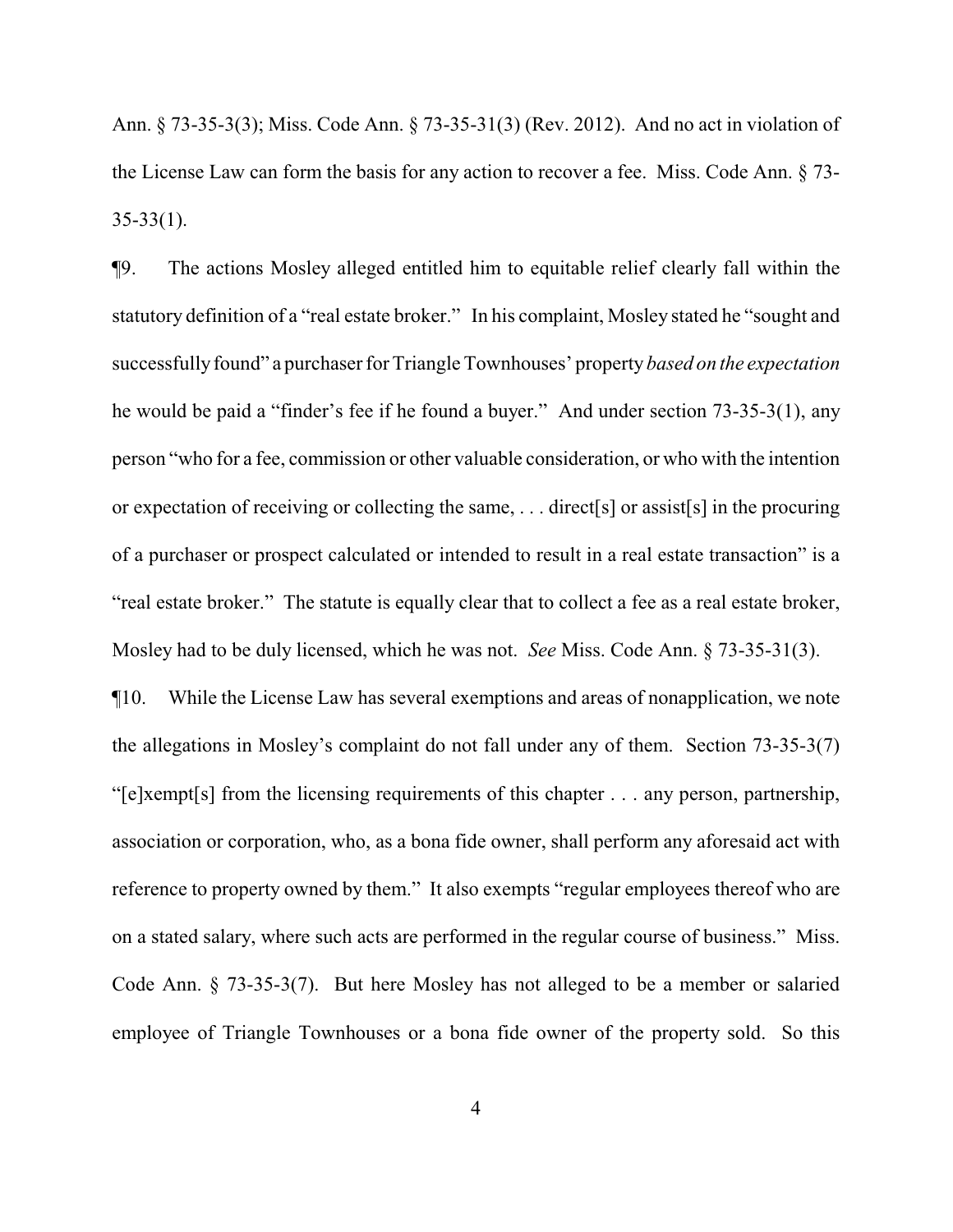Ann. § 73-35-3(3); Miss. Code Ann. § 73-35-31(3) (Rev. 2012). And no act in violation of the License Law can form the basis for any action to recover a fee. Miss. Code Ann. § 73-  $35-33(1)$ .

¶9. The actions Mosley alleged entitled him to equitable relief clearly fall within the statutory definition of a "real estate broker." In his complaint, Mosley stated he "sought and successfullyfound" a purchaser for Triangle Townhouses' property *based on the expectation* he would be paid a "finder's fee if he found a buyer." And under section 73-35-3(1), any person "who for a fee, commission or other valuable consideration, or who with the intention or expectation of receiving or collecting the same, . . . direct[s] or assist[s] in the procuring of a purchaser or prospect calculated or intended to result in a real estate transaction" is a "real estate broker." The statute is equally clear that to collect a fee as a real estate broker, Mosley had to be duly licensed, which he was not. *See* Miss. Code Ann. § 73-35-31(3).

¶10. While the License Law has several exemptions and areas of nonapplication, we note the allegations in Mosley's complaint do not fall under any of them. Section 73-35-3(7) "[e]xempt[s] from the licensing requirements of this chapter . . . any person, partnership, association or corporation, who, as a bona fide owner, shall perform any aforesaid act with reference to property owned by them." It also exempts "regular employees thereof who are on a stated salary, where such acts are performed in the regular course of business." Miss. Code Ann. § 73-35-3(7). But here Mosley has not alleged to be a member or salaried employee of Triangle Townhouses or a bona fide owner of the property sold. So this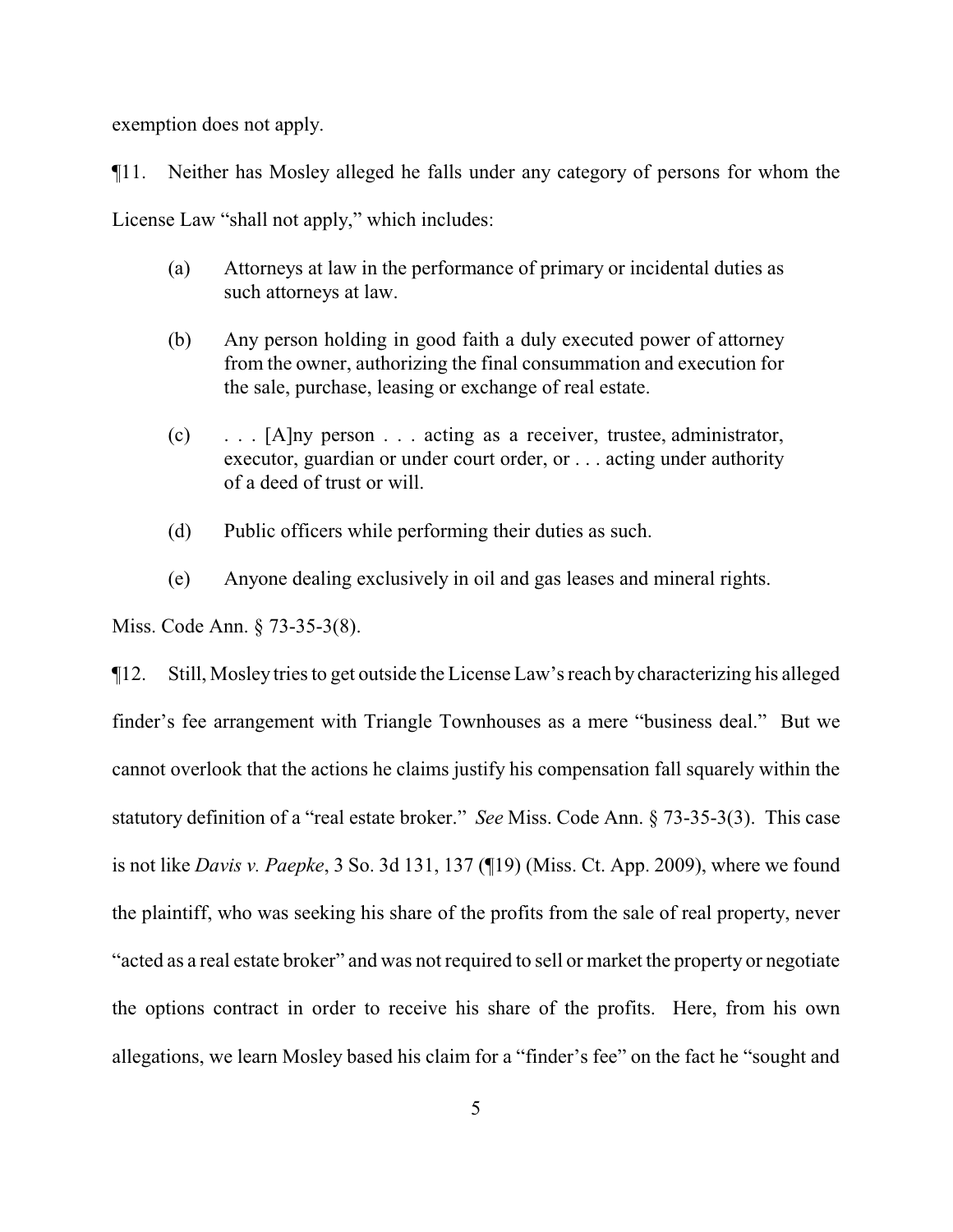exemption does not apply.

¶11. Neither has Mosley alleged he falls under any category of persons for whom the License Law "shall not apply," which includes:

- (a) Attorneys at law in the performance of primary or incidental duties as such attorneys at law.
- (b) Any person holding in good faith a duly executed power of attorney from the owner, authorizing the final consummation and execution for the sale, purchase, leasing or exchange of real estate.
- (c) . . . [A]ny person . . . acting as a receiver, trustee, administrator, executor, guardian or under court order, or . . . acting under authority of a deed of trust or will.
- (d) Public officers while performing their duties as such.
- (e) Anyone dealing exclusively in oil and gas leases and mineral rights.

Miss. Code Ann. § 73-35-3(8).

¶12. Still, Mosley tries to get outside the License Law's reach by characterizing his alleged finder's fee arrangement with Triangle Townhouses as a mere "business deal." But we cannot overlook that the actions he claims justify his compensation fall squarely within the statutory definition of a "real estate broker." *See* Miss. Code Ann. § 73-35-3(3). This case is not like *Davis v. Paepke*, 3 So. 3d 131, 137 (¶19) (Miss. Ct. App. 2009), where we found the plaintiff, who was seeking his share of the profits from the sale of real property, never "acted as a real estate broker" and was not required to sell or market the property or negotiate the options contract in order to receive his share of the profits. Here, from his own allegations, we learn Mosley based his claim for a "finder's fee" on the fact he "sought and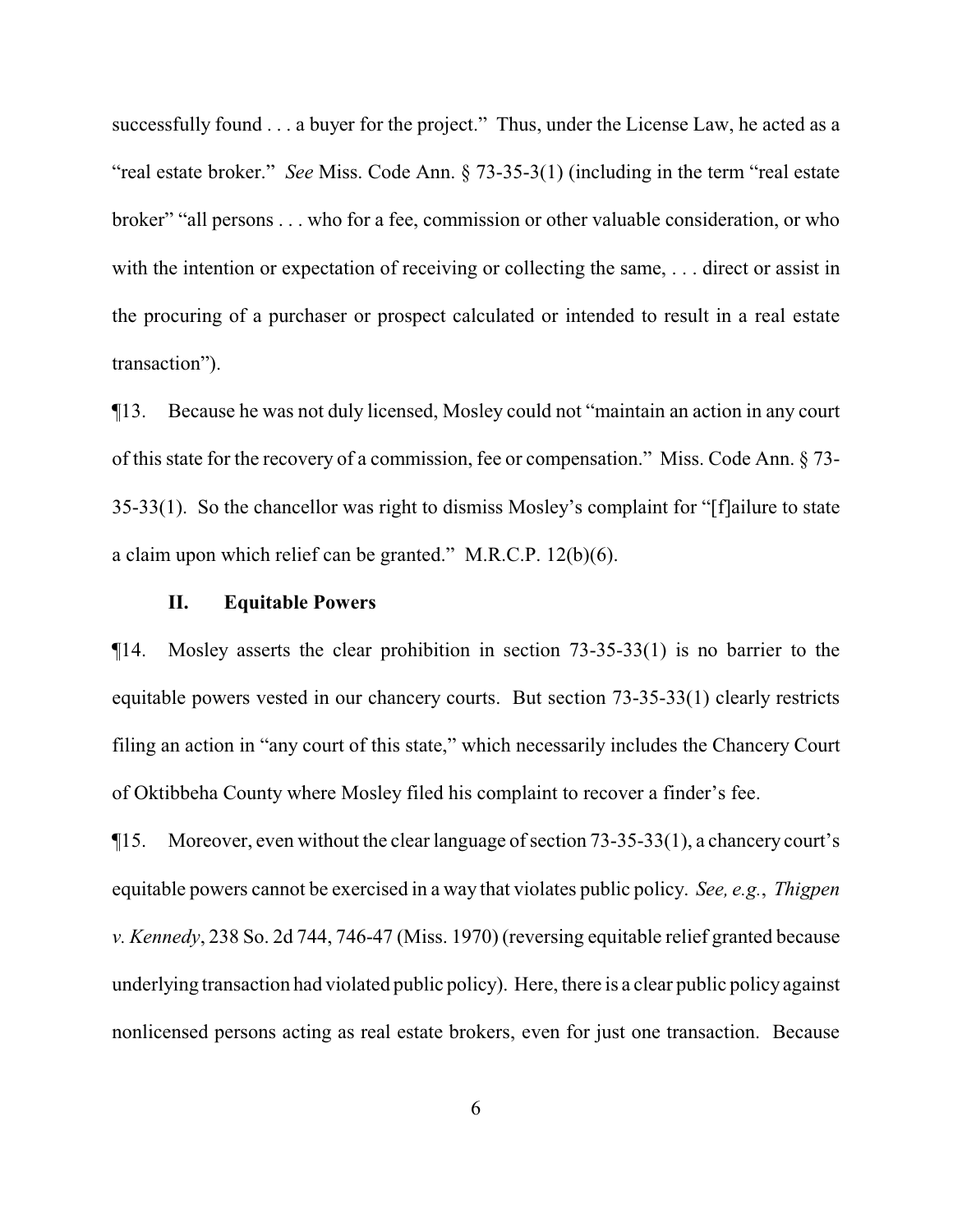successfully found . . . a buyer for the project." Thus, under the License Law, he acted as a "real estate broker." *See* Miss. Code Ann. § 73-35-3(1) (including in the term "real estate broker" "all persons . . . who for a fee, commission or other valuable consideration, or who with the intention or expectation of receiving or collecting the same, ... direct or assist in the procuring of a purchaser or prospect calculated or intended to result in a real estate transaction").

¶13. Because he was not duly licensed, Mosley could not "maintain an action in any court of this state for the recovery of a commission, fee or compensation." Miss. Code Ann. § 73- 35-33(1). So the chancellor was right to dismiss Mosley's complaint for "[f]ailure to state a claim upon which relief can be granted." M.R.C.P. 12(b)(6).

### **II. Equitable Powers**

¶14. Mosley asserts the clear prohibition in section 73-35-33(1) is no barrier to the equitable powers vested in our chancery courts. But section 73-35-33(1) clearly restricts filing an action in "any court of this state," which necessarily includes the Chancery Court of Oktibbeha County where Mosley filed his complaint to recover a finder's fee.

 $\P$ 15. Moreover, even without the clear language of section  $73-35-33(1)$ , a chancery court's equitable powers cannot be exercised in a way that violates public policy. *See, e.g.*, *Thigpen v. Kennedy*, 238 So. 2d 744, 746-47 (Miss. 1970) (reversing equitable relief granted because underlying transaction had violated public policy). Here, there is a clear public policy against nonlicensed persons acting as real estate brokers, even for just one transaction. Because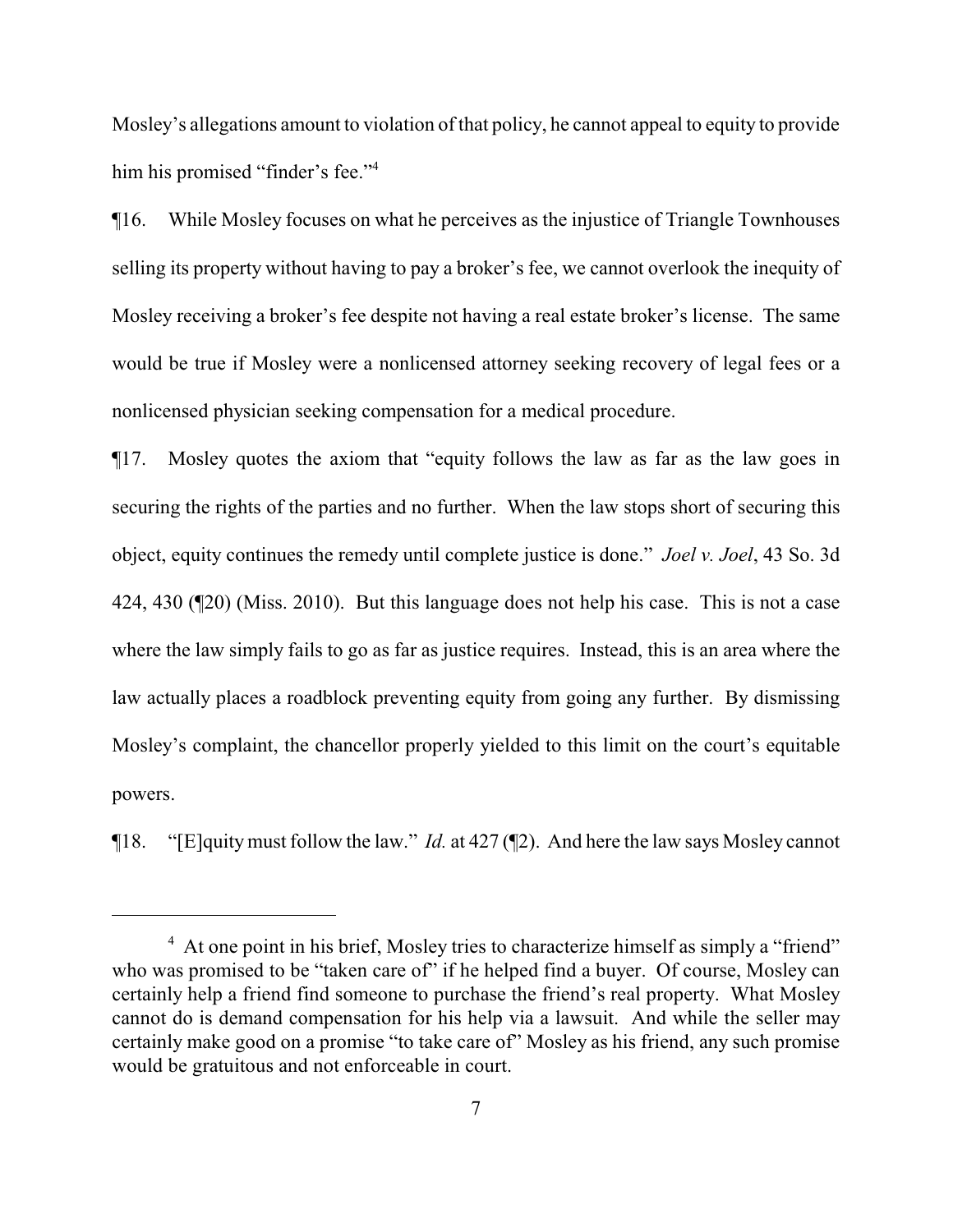Mosley's allegations amount to violation of that policy, he cannot appeal to equity to provide him his promised "finder's fee."<sup>4</sup>

¶16. While Mosley focuses on what he perceives as the injustice of Triangle Townhouses selling its property without having to pay a broker's fee, we cannot overlook the inequity of Mosley receiving a broker's fee despite not having a real estate broker's license. The same would be true if Mosley were a nonlicensed attorney seeking recovery of legal fees or a nonlicensed physician seeking compensation for a medical procedure.

¶17. Mosley quotes the axiom that "equity follows the law as far as the law goes in securing the rights of the parties and no further. When the law stops short of securing this object, equity continues the remedy until complete justice is done." *Joel v. Joel*, 43 So. 3d 424, 430 (¶20) (Miss. 2010). But this language does not help his case. This is not a case where the law simply fails to go as far as justice requires. Instead, this is an area where the law actually places a roadblock preventing equity from going any further. By dismissing Mosley's complaint, the chancellor properly yielded to this limit on the court's equitable powers.

¶18. "[E]quitymust follow the law." *Id.* at 427 (¶2). And here the law says Mosley cannot

<sup>&</sup>lt;sup>4</sup> At one point in his brief, Mosley tries to characterize himself as simply a "friend" who was promised to be "taken care of" if he helped find a buyer. Of course, Mosley can certainly help a friend find someone to purchase the friend's real property. What Mosley cannot do is demand compensation for his help via a lawsuit. And while the seller may certainly make good on a promise "to take care of" Mosley as his friend, any such promise would be gratuitous and not enforceable in court.